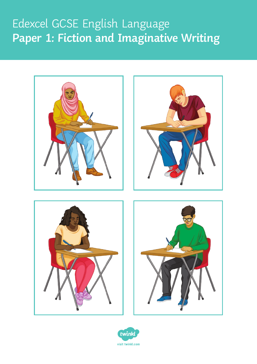## Edexcel GCSE English Language **Paper 1: Fiction and Imaginative Writing**



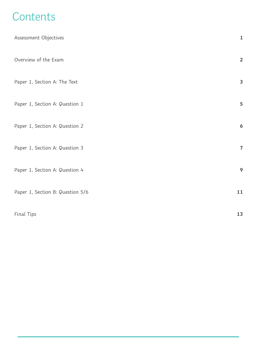## **Contents**

| Assessment Objectives            | $\mathbf{1}$     |
|----------------------------------|------------------|
| Overview of the Exam             | $\overline{2}$   |
| Paper 1, Section A: The Text     | 3                |
| Paper 1, Section A: Question 1   | 5                |
| Paper 1, Section A: Question 2   | $\boldsymbol{6}$ |
| Paper 1, Section A: Question 3   | $\overline{7}$   |
| Paper 1, Section A: Question 4   | 9                |
| Paper 1, Section B: Question 5/6 | 11               |
| Final Tips                       | 13               |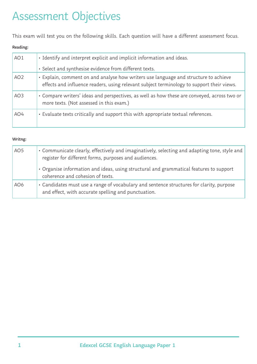## Assessment Objectives

This exam will test you on the following skills. Each question will have a different assessment focus.

#### **Reading:**

| AO1             | · Identify and interpret explicit and implicit information and ideas.                                                                                                            |
|-----------------|----------------------------------------------------------------------------------------------------------------------------------------------------------------------------------|
|                 | · Select and synthesise evidence from different texts.                                                                                                                           |
| AO <sub>2</sub> | · Explain, comment on and analyse how writers use language and structure to achieve<br>effects and influence readers, using relevant subject terminology to support their views. |
| AO <sub>3</sub> | • Compare writers' ideas and perspectives, as well as how these are conveyed, across two or<br>more texts. (Not assessed in this exam.)                                          |
| AO4             | · Evaluate texts critically and support this with appropriate textual references.                                                                                                |

#### **Writng:**

| AO <sub>5</sub> | • Communicate clearly, effectively and imaginatively, selecting and adapting tone, style and<br>register for different forms, purposes and audiences. |
|-----------------|-------------------------------------------------------------------------------------------------------------------------------------------------------|
|                 | • Organise information and ideas, using structural and grammatical features to support<br>coherence and cohesion of texts.                            |
| AO <sub>6</sub> | • Candidates must use a range of vocabulary and sentence structures for clarity, purpose<br>and effect, with accurate spelling and punctuation.       |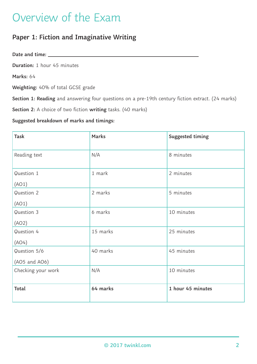## Overview of the Exam

## **Paper 1: Fiction and Imaginative Writing**

**Date and time:**

**Duration:** 1 hour 45 minutes

**Marks:** 64

**Weighting:** 40% of total GCSE grade

**Section 1: Reading** and answering four questions on a pre-19th century fiction extract. (24 marks)

**Section 2:** A choice of two fiction **writing** tasks. (40 marks)

#### **Suggested breakdown of marks and timings:**

| <b>Task</b>        | <b>Marks</b> | Suggested timing  |
|--------------------|--------------|-------------------|
| Reading text       | N/A          | 8 minutes         |
| Question 1         | 1 mark       | 2 minutes         |
| (AO1)              |              |                   |
| Question 2         | 2 marks      | 5 minutes         |
| (AO1)              |              |                   |
| Question 3         | 6 marks      | 10 minutes        |
| (AO2)              |              |                   |
| Question 4         | 15 marks     | 25 minutes        |
| (AO4)              |              |                   |
| Question 5/6       | 40 marks     | 45 minutes        |
| (AO5 and AO6)      |              |                   |
| Checking your work | N/A          | 10 minutes        |
|                    |              |                   |
| Total              | 64 marks     | 1 hour 45 minutes |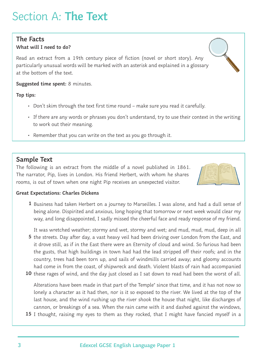## Section A: **The Text**

### **The Facts**

#### **What will I need to do?**

Read an extract from a 19th century piece of fiction (novel or short story). Any particularly unusual words will be marked with an asterisk and explained in a glossary at the bottom of the text.

**Suggested time spent:** 8 minutes.

**Top tips:**

- Don't skim through the text first time round make sure you read it carefully.
- If there are any words or phrases you don't understand, try to use their context in the writing to work out their meaning.
- Remember that you can write on the text as you go through it.

### **Sample Text**

The following is an extract from the middle of a novel published in 1861. The narrator, Pip, lives in London. His friend Herbert, with whom he shares rooms, is out of town when one night Pip receives an unexpected visitor.



#### **Great Expectations: Charles Dickens**

1 Business had taken Herbert on a journey to Marseilles. I was alone, and had a dull sense of being alone. Dispirited and anxious, long hoping that tomorrow or next week would clear my way, and long disappointed, I sadly missed the cheerful face and ready response of my friend.

It was wretched weather; stormy and wet, stormy and wet; and mud, mud, mud, deep in all

- 5 the streets. Day after day, a vast heavy veil had been driving over London from the East, and it drove still, as if in the East there were an Eternity of cloud and wind. So furious had been the gusts, that high buildings in town had had the lead stripped off their roofs; and in the country, trees had been torn up, and sails of windmills carried away; and gloomy accounts had come in from the coast, of shipwreck and death. Violent blasts of rain had accompanied
- 10 these rages of wind, and the day just closed as I sat down to read had been the worst of all.

Alterations have been made in that part of the Temple\* since that time, and it has not now so lonely a character as it had then, nor is it so exposed to the river. We lived at the top of the last house, and the wind rushing up the river shook the house that night, like discharges of cannon, or breakings of a sea. When the rain came with it and dashed against the windows,

15 I thought, raising my eyes to them as they rocked, that I might have fancied myself in a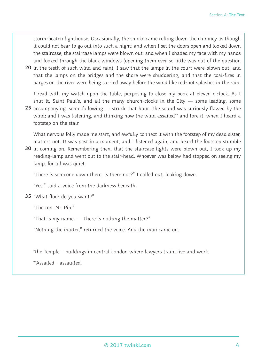storm-beaten lighthouse. Occasionally, the smoke came rolling down the chimney as though it could not bear to go out into such a night; and when I set the doors open and looked down the staircase, the staircase lamps were blown out; and when I shaded my face with my hands and looked through the black windows (opening them ever so little was out of the question

20 in the teeth of such wind and rain), I saw that the lamps in the court were blown out, and that the lamps on the bridges and the shore were shuddering, and that the coal-fires in barges on the river were being carried away before the wind like red-hot splashes in the rain.

I read with my watch upon the table, purposing to close my book at eleven o'clock. As I shut it, Saint Paul's, and all the many church-clocks in the City — some leading, some

25 accompanying, some following — struck that hour. The sound was curiously flawed by the wind; and I was listening, and thinking how the wind assailed\*\* and tore it, when I heard a footstep on the stair.

What nervous folly made me start, and awfully connect it with the footstep of my dead sister, matters not. It was past in a moment, and I listened again, and heard the footstep stumble

30 in coming on. Remembering then, that the staircase-lights were blown out, I took up my reading-lamp and went out to the stair-head. Whoever was below had stopped on seeing my lamp, for all was quiet.

"There is someone down there, is there not?" I called out, looking down.

"Yes," said a voice from the darkness beneath.

"What floor do you want?" **35**

"The top. Mr. Pip."

"That is my name. — There is nothing the matter?"

"Nothing the matter," returned the voice. And the man came on.

\*the Temple – buildings in central London where lawyers train, live and work.

\*\*Assailed - assaulted.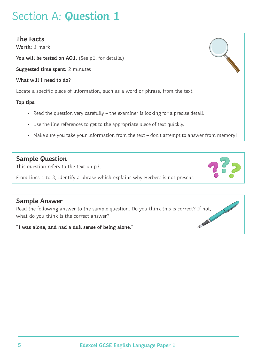### **The Facts**

**Worth:** 1 mark

**You will be tested on AO1.** (See p1. for details.)

**Suggested time spent:** 2 minutes

**What will I need to do?**

Locate a specific piece of information, such as a word or phrase, from the text.

#### **Top tips:**

- Read the question very carefully the examiner is looking for a precise detail.
- Use the line references to get to the appropriate piece of text quickly.
- Make sure you take your information from the text don't attempt to answer from memory!

### **Sample Question**

This question refers to the text on p3.

From lines 1 to 3, identify a phrase which explains why Herbert is not present.

### **Sample Answer**

Read the following answer to the sample question. Do you think this is correct? If not,<br>what do you think is the correct answer?<br>"I was alone and had all interest in the sample of the sample of the sample of the sample of what do you think is the correct answer?

**"I was alone, and had a dull sense of being alone."**



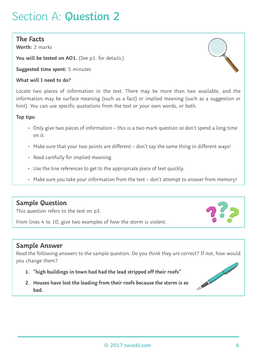### **The Facts**

**Worth:** 2 marks

**You will be tested on AO1.** (See p1. for details.)

**Suggested time spent:** 5 minutes

#### **What will I need to do?**

Locate two pieces of information in the text. There may be more than two available, and the information may be surface meaning (such as a fact) or implied meaning (such as a suggestion or hint). You can use specific quotations from the text or your own words, or both.

#### **Top tips:**

- Only give two pieces of information this is a two mark question so don't spend a long time on it.
- Make sure that your two points are different don't say the same thing in different ways!
- Read carefully for implied meaning.
- Use the line references to get to the appropriate piece of text quickly.
- Make sure you take your information from the text don't attempt to answer from memory!

## **Sample Question**

This question refers to the text on p3.

From lines 4 to 10, give two examples of how the storm is violent.

## **Sample Answer**

Read the following answers to the sample question. Do you think they are correct? If not, how would you change them?

- **1. "high buildings in town had had the lead stripped off their roofs"**
- **2. Houses have lost the leading from their roofs because the storm is so bad.**



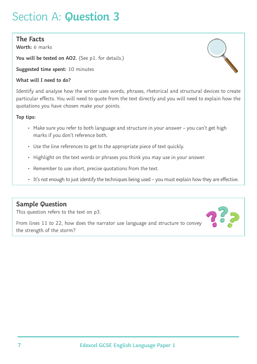### **The Facts**

**Worth:** 6 marks

**You will be tested on AO2.** (See p1. for details.)

**Suggested time spent:** 10 minutes

#### **What will I need to do?**

Identify and analyse how the writer uses words, phrases, rhetorical and structural devices to create particular effects. You will need to quote from the text directly and you will need to explain how the quotations you have chosen make your points.

#### **Top tips:**

- Make sure you refer to both language and structure in your answer you can't get high marks if you don't reference both.
- Use the line references to get to the appropriate piece of text quickly.
- Highlight on the text words or phrases you think you may use in your answer.
- Remember to use short, precise quotations from the text.
- It's not enough to just identify the techniques being used you must explain how they are effective.

## **Sample Question**

This question refers to the text on p3.

From lines 11 to 22, how does the narrator use language and structure to convey the strength of the storm?

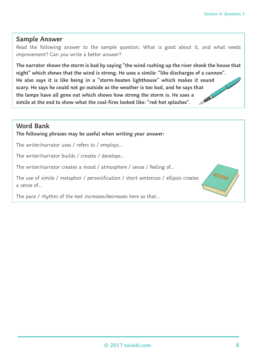### **Sample Answer**

Read the following answer to the sample question. What is good about it, and what needs improvement? Can you write a better answer?

**The narrator shows the storm is bad by saying "the wind rushing up the river shook the house that night" which shows that the wind is strong. He uses a simile: "like discharges of a cannon". He also says it is like being in a "storm-beaten lighthouse" which makes it sound scary. He says he could not go outside as the weather is too bad, and he says that the lamps have all gone out which shows how strong the storm is. He uses a simile at the end to show what the coal-fires looked like: "red-hot splashes".** 

### **Word Bank**

**The following phrases may be useful when writing your answer:**

The writer/narrator uses / refers to / employs…

The writer/narrator builds / creates / develops…

The writer/narrator creates a mood / atmosphere / sense / feeling of…

The use of simile / metaphor / personification / short sentences / ellipsis creates a sense of…

The pace / rhythm of the text increases/decreases here so that…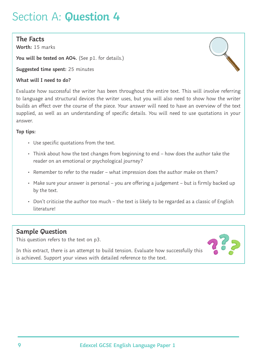### **The Facts**

**Worth:** 15 marks

**You will be tested on AO4.** (See p1. for details.)

**Suggested time spent:** 25 minutes

#### **What will I need to do?**

Evaluate how successful the writer has been throughout the entire text. This will involve referring to language and structural devices the writer uses, but you will also need to show how the writer builds an effect over the course of the piece. Your answer will need to have an overview of the text supplied, as well as an understanding of specific details. You will need to use quotations in your answer.

#### **Top tips:**

- Use specific quotations from the text.
- Think about how the text changes from beginning to end how does the author take the reader on an emotional or psychological journey?
- Remember to refer to the reader what impression does the author make on them?
- Make sure your answer is personal you are offering a judgement but is firmly backed up by the text.
- Don't criticise the author too much the text is likely to be regarded as a classic of English literature!

## **Sample Question**

This question refers to the text on p3.

In this extract, there is an attempt to build tension. Evaluate how successfully this is achieved. Support your views with detailed reference to the text.

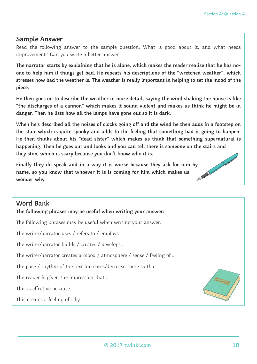#### **Sample Answer**

Read the following answer to the sample question. What is good about it, and what needs improvement? Can you write a better answer?

**The narrator starts by explaining that he is alone, which makes the reader realise that he has noone to help him if things get bad. He repeats his descriptions of the "wretched weather", which stresses how bad the weather is. The weather is really important in helping to set the mood of the piece.**

**He then goes on to describe the weather in more detail, saying the wind shaking the house is like "the discharges of a cannon" which makes it sound violent and makes us think he might be in danger. Then he lists how all the lamps have gone out so it is dark.**

**When he's described all the noises of clocks going off and the wind he then adds in a footstep on the stair which is quite spooky and adds to the feeling that something bad is going to happen. He then thinks about his "dead sister" which makes us think that something supernatural is happening. Then he goes out and looks and you can tell there is someone on the stairs and they stop, which is scary because you don't know who it is.**

**Finally they do speak and in a way it is worse because they ask for him by** name, so you know that whoever it is is coming for him which we also wonder why. **name, so you know that whoever it is is coming for him which makes us wonder why.** 

#### **Word Bank**

**The following phrases may be useful when writing your answer:**

The following phrases may be useful when writing your answer:

The writer/narrator uses / refers to / employs…

The writer/narrator builds / creates / develops…

The writer/narrator creates a mood / atmosphere / sense / feeling of…

The pace / rhythm of the text increases/decreases here so that…

The reader is given the impression that…

This is effective because…

This creates a feeling of… by…

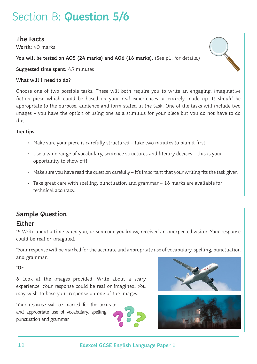## Section B: **Question 5/6**

### **The Facts**

**Worth:** 40 marks

**You will be tested on AO5 (24 marks) and AO6 (16 marks).** (See p1. for details.)



**Suggested time spent:** 45 minutes

#### **What will I need to do?**

Choose one of two possible tasks. These will both require you to write an engaging, imaginative fiction piece which could be based on your real experiences or entirely made up. It should be appropriate to the purpose, audience and form stated in the task. One of the tasks will include two images – you have the option of using one as a stimulus for your piece but you do not have to do this.

#### **Top tips:**

- Make sure your piece is carefully structured take two minutes to plan it first.
- Use a wide range of vocabulary, sentence structures and literary devices this is your opportunity to show off!
- Make sure you have read the question carefully it's important that your writing fits the task given.
- Take great care with spelling, punctuation and grammar 16 marks are available for technical accuracy.

## **Sample Question Either**

\*5 Write about a time when you, or someone you know, received an unexpected visitor. Your response could be real or imagined.

\*Your response will be marked for the accurate and appropriate use of vocabulary, spelling, punctuation and grammar.

#### \***Or**

6 Look at the images provided. Write about a scary experience. Your response could be real or imagined. You may wish to base your response on one of the images.

\*Your response will be marked for the accurate and appropriate use of vocabulary, spelling, punctuation and grammar.





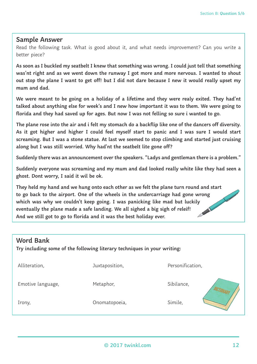#### **Sample Answer**

Read the following task. What is good about it, and what needs improvement? Can you write a better piece?

**As soon as I buckled my seatbelt I knew that something was wrong. I could just tell that something was'nt right and as we went down the runway I got more and more nervous. I wanted to shout out stop the plane I want to get off! but I did not dare because I new it would really upset my mum and dad.**

**We were meant to be going on a holiday of a lifetime and they were realy exited. They had'nt talked about anything else for week's and I new how important it was to them. We were going to florida and they had saved up for ages. But now I was not felling so sure i wanted to go.**

**The plane rose into the air and i felt my stomach do a backflip like one of the dancers off diversity. As it got higher and higher I could feel myself start to panic and I was sure I would start screaming. But I was a stone statue. At last we seemed to stop climbing and started just cruising along but I was still worried. Why had'nt the seatbelt lite gone off?**

**Suddenly there was an announcement over the speakers. "Ladys and gentleman there is a problem."**

**Suddenly everyone was screaming and my mum and dad looked really white like they had seen a ghost. Dont worry, I said it wil be ok.**

**They held my hand and we hung onto each other as we felt the plane turn round and start to go back to the airport. One of the wheels in the undercarriage had gone wrong which was why we couldn't keep going. I was panicking like mad but luckily eventually the plane made a safe landing. We all sighed a big sigh of releif! And we still got to go to florida and it was the best holiday ever.** 

| <b>Word Bank</b><br>Try including some of the following literary techniques in your writing: |                |                  |  |
|----------------------------------------------------------------------------------------------|----------------|------------------|--|
| Alliteration,                                                                                | Juxtaposition, | Personification, |  |
| Emotive language,                                                                            | Metaphor,      | Sibilance,       |  |
| Irony,                                                                                       | Onomatopoeia,  | Simile,          |  |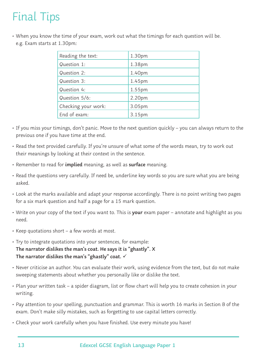# Final Tips

• When you know the time of your exam, work out what the timings for each question will be. e.g. Exam starts at 1.30pm:

| Reading the text:   | 1.30pm |
|---------------------|--------|
| Question 1:         | 1.38pm |
| Question 2:         | 1.40pm |
| Question 3:         | 1.45pm |
| Question 4:         | 1.55pm |
| Question 5/6:       | 2.20pm |
| Checking your work: | 3.05pm |
| End of exam:        | 3.15pm |

- If you miss your timings, don't panic. Move to the next question quickly you can always return to the previous one if you have time at the end.
- Read the text provided carefully. If you're unsure of what some of the words mean, try to work out their meanings by looking at their context in the sentence.
- Remember to read for **implied** meaning, as well as **surface** meaning.
- Read the questions very carefully. If need be, underline key words so you are sure what you are being asked.
- Look at the marks available and adapt your response accordingly. There is no point writing two pages for a six mark question and half a page for a 15 mark question.
- Write on your copy of the text if you want to. This is **your** exam paper annotate and highlight as you need.
- Keep quotations short a few words at most.
- Try to integrate quotations into your sentences, for example: **The narrator dislikes the man's coat. He says it is "ghastly". X The narrator dislikes the man's "ghastly" coat.**
- Never criticise an author. You can evaluate their work, using evidence from the text, but do not make sweeping statements about whether you personally like or dislike the text.
- Plan your written task a spider diagram, list or flow chart will help you to create cohesion in your writing.
- Pay attention to your spelling, punctuation and grammar. This is worth 16 marks in Section B of the exam. Don't make silly mistakes, such as forgetting to use capital letters correctly.
- Check your work carefully when you have finished. Use every minute you have!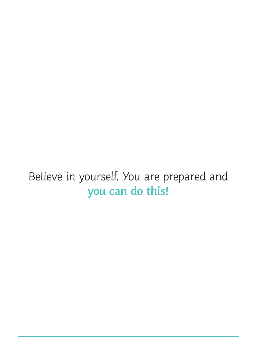# Believe in yourself. You are prepared and **you can do this!**